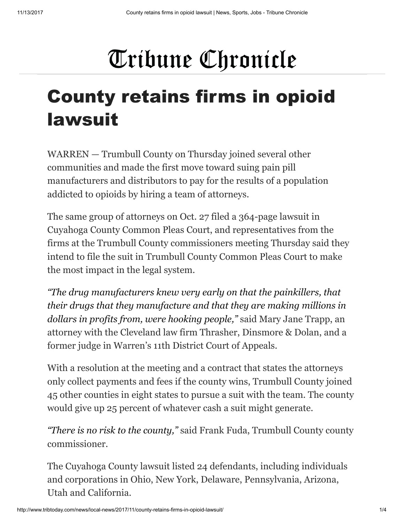## Tribune Chronicle

## County retains firms in opioid lawsuit

WARREN — Trumbull County on Thursday joined several other communities and made the first move toward suing pain pill manufacturers and distributors to pay for the results of a population addicted to opioids by hiring a team of attorneys.

The same group of attorneys on Oct. 27 filed a 364-page lawsuit in Cuyahoga County Common Pleas Court, and representatives from the firms at the Trumbull County commissioners meeting Thursday said they intend to file the suit in Trumbull County Common Pleas Court to make the most impact in the legal system.

*"The drug manufacturers knew very early on that the painkillers, that their drugs that they manufacture and that they are making millions in dollars in profits from, were hooking people,"* said Mary Jane Trapp, an attorney with the Cleveland law firm Thrasher, Dinsmore & Dolan, and a former judge in Warren's 11th District Court of Appeals.

With a resolution at the meeting and a contract that states the attorneys only collect payments and fees if the county wins, Trumbull County joined 45 other counties in eight states to pursue a suit with the team. The county would give up 25 percent of whatever cash a suit might generate.

*"There is no risk to the county,"* said Frank Fuda, Trumbull County county commissioner.

The Cuyahoga County lawsuit listed 24 defendants, including individuals and corporations in Ohio, New York, Delaware, Pennsylvania, Arizona, Utah and California.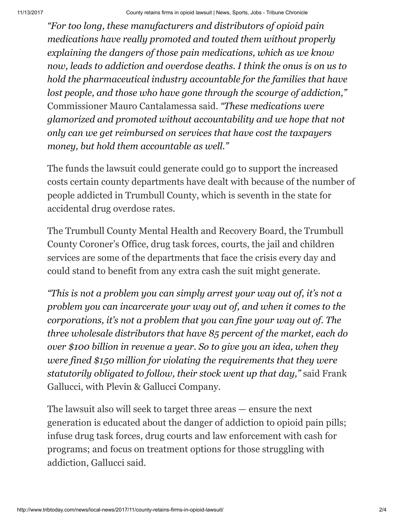*"For too long, these manufacturers and distributors of opioid pain medications have really promoted and touted them without properly explaining the dangers of those pain medications, which as we know now, leads to addiction and overdose deaths. I think the onus is on us to hold the pharmaceutical industry accountable for the families that have lost people, and those who have gone through the scourge of addiction,"* Commissioner Mauro Cantalamessa said. *"These medications were glamorized and promoted without accountability and we hope that not only can we get reimbursed on services that have cost the taxpayers money, but hold them accountable as well."*

The funds the lawsuit could generate could go to support the increased costs certain county departments have dealt with because of the number of people addicted in Trumbull County, which is seventh in the state for accidental drug overdose rates.

The Trumbull County Mental Health and Recovery Board, the Trumbull County Coroner's Office, drug task forces, courts, the jail and children services are some of the departments that face the crisis every day and could stand to benefit from any extra cash the suit might generate.

*"This is not a problem you can simply arrest your way out of, it's not a problem you can incarcerate your way out of, and when it comes to the corporations, it's not a problem that you can fine your way out of. The three wholesale distributors that have 85 percent of the market, each do over \$100 billion in revenue a year. So to give you an idea, when they were fined \$150 million for violating the requirements that they were statutorily obligated to follow, their stock went up that day,"* said Frank Gallucci, with Plevin & Gallucci Company.

The lawsuit also will seek to target three areas — ensure the next generation is educated about the danger of addiction to opioid pain pills; infuse drug task forces, drug courts and law enforcement with cash for programs; and focus on treatment options for those struggling with addiction, Gallucci said.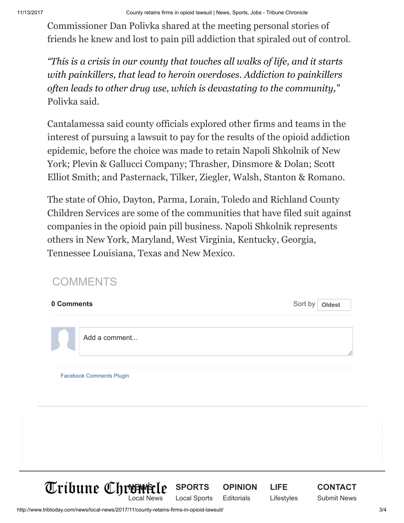Commissioner Dan Polivka shared at the meeting personal stories of friends he knew and lost to pain pill addiction that spiraled out of control.

*"This is a crisis in our county that touches all walks of life, and it starts with painkillers, that lead to heroin overdoses. Addiction to painkillers often leads to other drug use, which is devastating to the community,"* Polivka said.

Cantalamessa said county officials explored other firms and teams in the interest of pursuing a lawsuit to pay for the results of the opioid addiction epidemic, before the choice was made to retain Napoli Shkolnik of New York; Plevin & Gallucci Company; Thrasher, Dinsmore & Dolan; Scott Elliot Smith; and Pasternack, Tilker, Ziegler, Walsh, Stanton & Romano.

The state of Ohio, Dayton, Parma, Lorain, Toledo and Richland County Children Services are some of the communities that have filed suit against companies in the opioid pain pill business. Napoli Shkolnik represents others in New York, Maryland, West Virginia, Kentucky, Georgia, Tennessee Louisiana, Texas and New Mexico.

## COMMENTS

| 0 Comments |                                 |  | Sort by<br>Oldest |  |  |
|------------|---------------------------------|--|-------------------|--|--|
|            | Add a comment                   |  |                   |  |  |
|            | <b>Facebook Comments Plugin</b> |  |                   |  |  |
|            |                                 |  |                   |  |  |
|            |                                 |  |                   |  |  |
|            |                                 |  |                   |  |  |

[SPORTS](http://www.tribtoday.com/sports/) [Local Sports](http://www.tribtoday.com/sports/local-sports/)

**[OPINION](http://www.tribtoday.com/opinion/) [Editorials](http://www.tribtoday.com/opinion/editorials/)** 

[LIFE](http://www.tribtoday.com/life/) [Lifestyles](http://www.tribtoday.com/life/lifecovers/)

http://www.tribtoday.com/news/local-news/2017/11/county-retains-firms-in-opioid-lawsuit/ 3/4

**[NEWS](http://www.tribtoday.com/)** [Local News](http://www.tribtoday.com/news/local-news/)

**[CONTACT](http://www.tribtoday.com/contact-us/)** [Submit News](http://www.tribtoday.com/submit-news/)